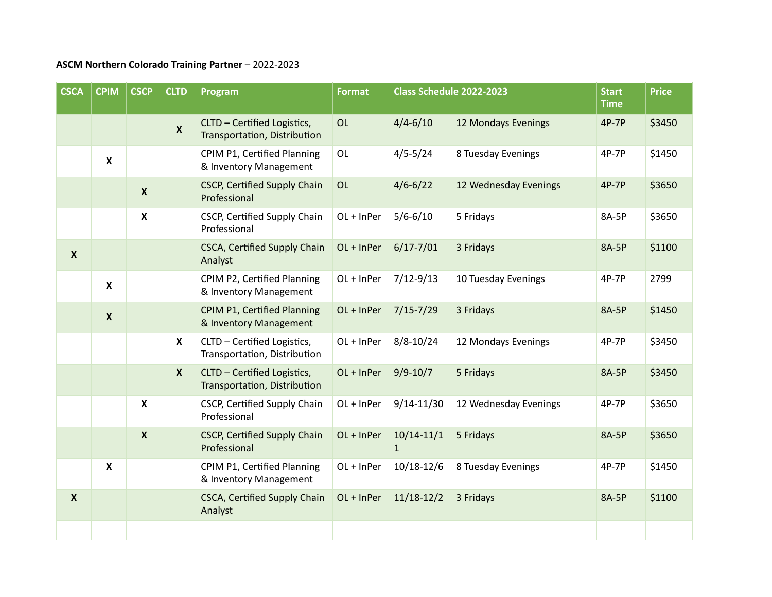## **ASCM Northern Colorado Training Partner** – 2022-2023

| <b>CSCA</b>      | <b>CPIM</b>               | <b>CSCP</b>               | <b>CLTD</b>      | Program                                                      | <b>Format</b> | Class Schedule 2022-2023       |                       | <b>Start</b><br><b>Time</b> | <b>Price</b> |
|------------------|---------------------------|---------------------------|------------------|--------------------------------------------------------------|---------------|--------------------------------|-----------------------|-----------------------------|--------------|
|                  |                           |                           | $\mathbf{x}$     | CLTD - Certified Logistics,<br>Transportation, Distribution  | OL            | $4/4 - 6/10$                   | 12 Mondays Evenings   | 4P-7P                       | \$3450       |
|                  | $\boldsymbol{\mathsf{x}}$ |                           |                  | CPIM P1, Certified Planning<br>& Inventory Management        | OL            | $4/5 - 5/24$                   | 8 Tuesday Evenings    | 4P-7P                       | \$1450       |
|                  |                           | $\boldsymbol{X}$          |                  | <b>CSCP, Certified Supply Chain</b><br>Professional          | OL            | $4/6 - 6/22$                   | 12 Wednesday Evenings | 4P-7P                       | \$3650       |
|                  |                           | $\boldsymbol{\mathsf{X}}$ |                  | CSCP, Certified Supply Chain<br>Professional                 | OL + InPer    | $5/6 - 6/10$                   | 5 Fridays             | 8A-5P                       | \$3650       |
| $\boldsymbol{X}$ |                           |                           |                  | <b>CSCA, Certified Supply Chain</b><br>Analyst               | OL + InPer    | $6/17 - 7/01$                  | 3 Fridays             | 8A-5P                       | \$1100       |
|                  | $\boldsymbol{\mathsf{X}}$ |                           |                  | CPIM P2, Certified Planning<br>& Inventory Management        | OL + InPer    | $7/12 - 9/13$                  | 10 Tuesday Evenings   | 4P-7P                       | 2799         |
|                  | $\boldsymbol{X}$          |                           |                  | <b>CPIM P1, Certified Planning</b><br>& Inventory Management | OL + InPer    | $7/15 - 7/29$                  | 3 Fridays             | 8A-5P                       | \$1450       |
|                  |                           |                           | X                | CLTD - Certified Logistics,<br>Transportation, Distribution  | OL + InPer    | $8/8 - 10/24$                  | 12 Mondays Evenings   | 4P-7P                       | \$3450       |
|                  |                           |                           | $\boldsymbol{X}$ | CLTD - Certified Logistics,<br>Transportation, Distribution  | OL + InPer    | $9/9 - 10/7$                   | 5 Fridays             | 8A-5P                       | \$3450       |
|                  |                           | $\boldsymbol{\mathsf{X}}$ |                  | CSCP, Certified Supply Chain<br>Professional                 | OL + InPer    | $9/14 - 11/30$                 | 12 Wednesday Evenings | 4P-7P                       | \$3650       |
|                  |                           | $\boldsymbol{X}$          |                  | <b>CSCP, Certified Supply Chain</b><br>Professional          | OL + InPer    | $10/14 - 11/1$<br>$\mathbf{1}$ | 5 Fridays             | 8A-5P                       | \$3650       |
|                  | $\boldsymbol{\mathsf{x}}$ |                           |                  | CPIM P1, Certified Planning<br>& Inventory Management        | OL + InPer    | 10/18-12/6                     | 8 Tuesday Evenings    | 4P-7P                       | \$1450       |
| $\boldsymbol{X}$ |                           |                           |                  | <b>CSCA, Certified Supply Chain</b><br>Analyst               | $OL + InPer$  | $11/18-12/2$                   | 3 Fridays             | 8A-5P                       | \$1100       |
|                  |                           |                           |                  |                                                              |               |                                |                       |                             |              |